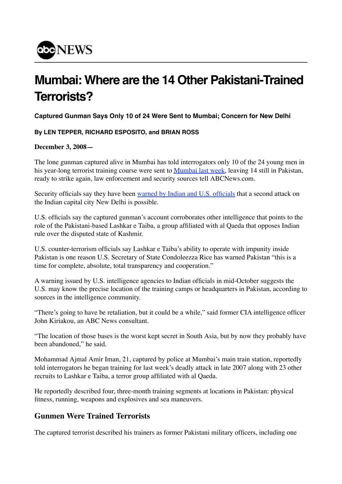

## **Mumbai: Where are the 14 Other Pakistani-Trained Terrorists?**

**Captured Gunman Says Only 10 of 24 Were Sent to Mumbai; Concern for New Delhi**

## **By LEN TEPPER, RICHARD ESPOSITO, and BRIAN ROSS**

## **December 3, 2008—**

The lone gunman captured alive in Mumbai has told interrogators only 10 of the 24 young men in his year-long terrorist training course were sent to Mumbai last week, leaving 14 still in Pakistan, ready to strike again, law enforcement and security sources tell ABCNews.com.

Security officials say they have been warned by Indian and U.S. officials that a second attack on the Indian capital city New Delhi is possible.

U.S. officials say the captured gunman's account corroborates other intelligence that points to the role of the Pakistani-based Lashkar e Taiba, a group affiliated with al Qaeda that opposes Indian rule over the disputed state of Kashmir.

U.S. counter-terrorism officials say Lashkar e Taiba's ability to operate with impunity inside Pakistan is one reason U.S. Secretary of State Condoleezza Rice has warned Pakistan "this is a time for complete, absolute, total transparency and cooperation."

A warning issued by U.S. intelligence agencies to Indian officials in mid-October suggests the U.S. may know the precise location of the training camps or headquarters in Pakistan, according to sources in the intelligence community.

"There's going to have be retaliation, but it could be a while," said former CIA intelligence officer John Kiriakou, an ABC News consultant.

"The location of those bases is the worst kept secret in South Asia, but by now they probably have been abandoned," he said.

Mohammad Ajmal Amir Iman, 21, captured by police at Mumbai's main train station, reportedly told interrogators he began training for last week's deadly attack in late 2007 along with 23 other recruits to Lashkar e Taiba, a terror group affiliated with al Qaeda.

He reportedly described four, three-month training segments at locations in Pakistan: physical fitness, running, weapons and explosives and sea maneuvers.

## **Gunmen Were Trained Terrorists**

The captured terrorist described his trainers as former Pakistani military officers, including one